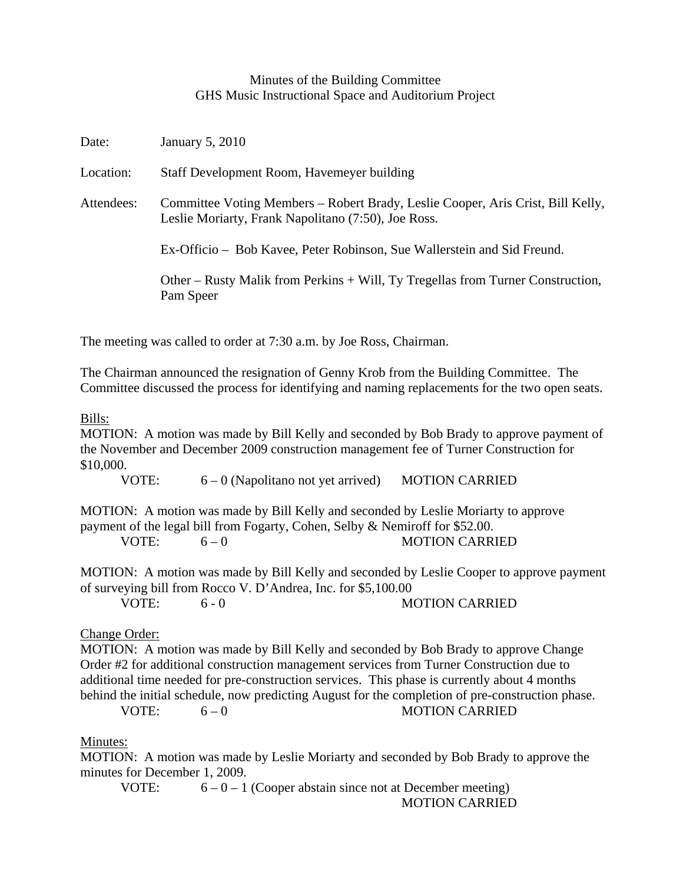## Minutes of the Building Committee GHS Music Instructional Space and Auditorium Project

| Date:      | January 5, 2010                                                                                                                        |
|------------|----------------------------------------------------------------------------------------------------------------------------------------|
| Location:  | Staff Development Room, Havemeyer building                                                                                             |
| Attendees: | Committee Voting Members – Robert Brady, Leslie Cooper, Aris Crist, Bill Kelly,<br>Leslie Moriarty, Frank Napolitano (7:50), Joe Ross. |
|            | Ex-Officio – Bob Kavee, Peter Robinson, Sue Wallerstein and Sid Freund.                                                                |
|            | Other – Rusty Malik from Perkins + Will, Ty Tregellas from Turner Construction,<br>Pam Speer                                           |

The meeting was called to order at 7:30 a.m. by Joe Ross, Chairman.

The Chairman announced the resignation of Genny Krob from the Building Committee. The Committee discussed the process for identifying and naming replacements for the two open seats.

## Bills:

MOTION: A motion was made by Bill Kelly and seconded by Bob Brady to approve payment of the November and December 2009 construction management fee of Turner Construction for \$10,000.

VOTE:  $6 - 0$  (Napolitano not yet arrived) MOTION CARRIED

MOTION: A motion was made by Bill Kelly and seconded by Leslie Moriarty to approve payment of the legal bill from Fogarty, Cohen, Selby & Nemiroff for \$52.00.

VOTE: 6 – 0 MOTION CARRIED

MOTION: A motion was made by Bill Kelly and seconded by Leslie Cooper to approve payment of surveying bill from Rocco V. D'Andrea, Inc. for \$5,100.00

VOTE: 6 - 0 MOTION CARRIED

## Change Order:

MOTION: A motion was made by Bill Kelly and seconded by Bob Brady to approve Change Order #2 for additional construction management services from Turner Construction due to additional time needed for pre-construction services. This phase is currently about 4 months behind the initial schedule, now predicting August for the completion of pre-construction phase.

VOTE:  $6-0$  MOTION CARRIED

## Minutes:

MOTION: A motion was made by Leslie Moriarty and seconded by Bob Brady to approve the minutes for December 1, 2009.

VOTE:  $6 - 0 - 1$  (Cooper abstain since not at December meeting) MOTION CARRIED